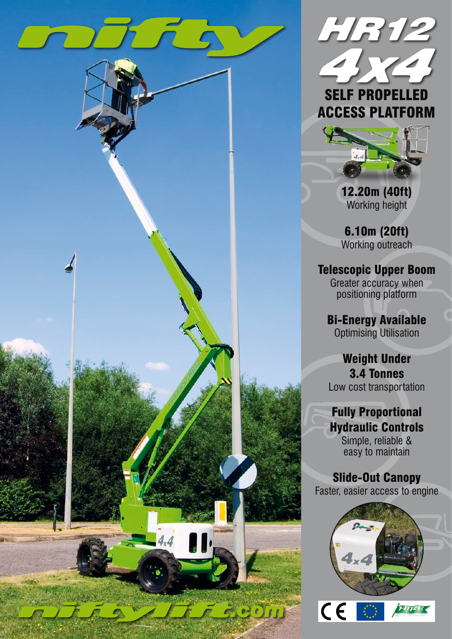



12.20m (40ft) Working height

6.10m (20ft) Working outreach

Telescopic Upper Boom Greater accuracy when positioning platform

Bi-Energy Available Optimising Utilisation

Weight Under 3.4 Tonnes Low cost transportation

Fully Proportional Hydraulic Controls Simple, reliable &

easy to maintain

Slide-Out Canopy Faster, easier access to engine